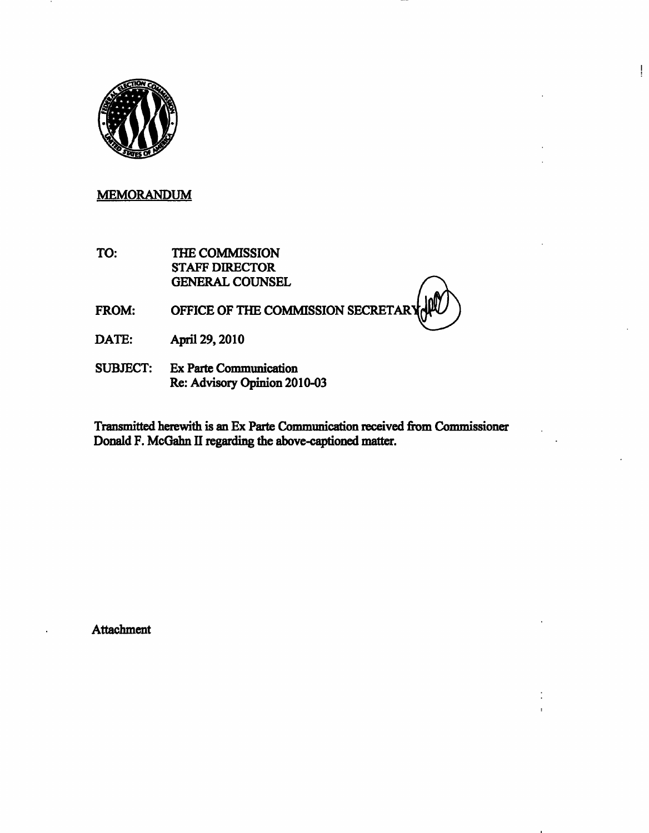

## MEMORANDUM

TO: THE COMMISSION STAFF DIRECTOR GENERAL COUNSEL

FROM: OFFICE OF THE COMMISSION SECRETARY

ļ

- DATE: April 29,2010
- SUBJECT: Ex Parte Communication Re: Advisory Opinion 2010-03

Transmitted herewith is an Ex Parte Communication received from Commissioner Donald F. McGahn II regarding the above-captioned matter.

**Attachment**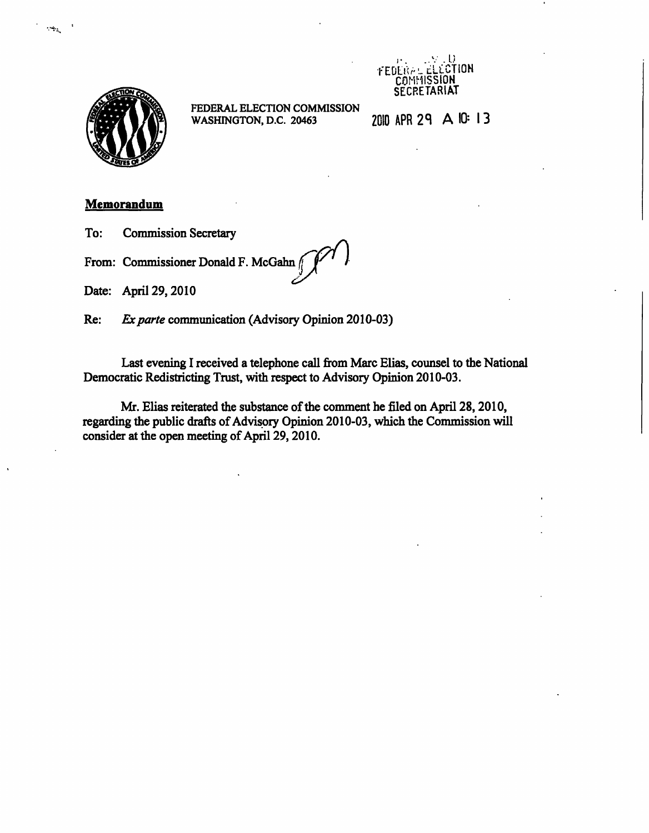



 $\frac{1}{2} \sum_{i=1}^{n}$ 

FEDERAL ELECTION COMMISSION WASHINGTON, D.C. 20463

2010 APR 29 A 10: 13

## **Memorandum**

To: Commission Secretary

From: Commissioner Donald F. McGahn /

Date: April 29,2010

Re: Exparte communication (Advisory Opinion 2010-03)

Last evening I received a telephone call from Marc Elias, counsel to the National Democratic Redistricting Trust, with respect to Advisory Opinion 2010-03.

Mr. Elias reiterated the substance of the comment he filed on April 28,2010, regarding the public drafts of Advisory Opinion 2010-03, which the Commission will consider at the open meeting of April 29, 2010.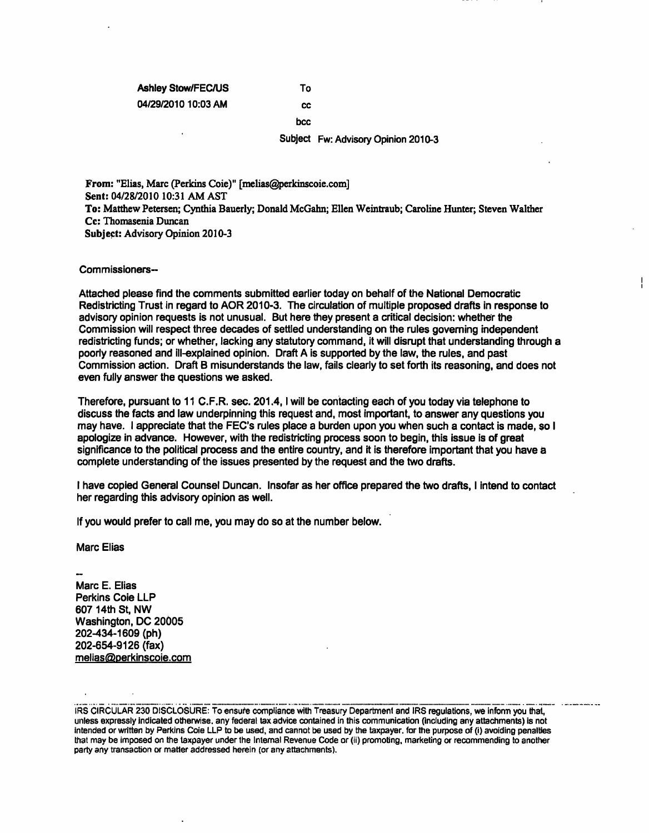## Ashley Stow/FEC/US To 04/29/2010 10:03 AM cc

bcc

Subject Fw: Advisory Opinion 2010-3

From: "Elias, Marc (Perkins Coie)" [melias@perkinscoie.com] Sent: 04/28/2010 10:31 AM AST To: Matthew Petersen; Cynthia Bauerly; Donald McGahn; Ellen Weintraub; Caroline Hunter; Steven Walther Cc: Thomasenia Duncan Subject: Advisory Opinion 2010-3

## Commissioners-

Attached please find the comments submitted earlier today on behalf of the National Democratic Redistricting Trust in regard to AOR 2010-3. The circulation of multiple proposed drafts in response to advisory opinion requests is not unusual. But here they present a critical decision: whether the Commission will respect three decades of settled understanding on the rules governing independent redistricting funds; or whether, lacking any statutory command, it will disrupt that understanding through a poorly reasoned and ill-explained opinion. Draft A is supported by the law, the rules, and past Commission action. Draft B misunderstands the law, fails clearly to set forth its reasoning, and does not even fully answer the questions we asked.

Therefore, pursuant to 11 C.F.R. sec. 201.4, I will be contacting each of you today via telephone to discuss the facts and law underpinning this request and, most important, to answer any questions you may have. I appreciate that the FEC's rules place a burden upon you when such a contact is made, so I apologize in advance. However, with the redistricting process soon to begin, this issue is of great significance to the political process and the entire country, and it is therefore important that you have a complete understanding of the issues presented by the request and the two drafts.

I have copied General Counsel Duncan. Insofar as her office prepared the two drafts, I intend to contact her regarding this advisory opinion as well.

If you would prefer to call me, you may do so at the number below.

Marc Elias

Marc E. Elias Perkins Coie LLP 607 14th St, NW Washington, DC 20005 202-434-1 609 (ph) 202-654-9 126 (fax) melias@perkinscoie.com

IRS CIRCULAR 230 DISCLOSURE: To ensure compliance with Treasury Department and IRS regulations, we inform you that, unless expressly indicated otherwise, any federal tax advice contained in this communication (including any attachments) is not intended or written by Perkins Coie LLP to be used, and cannot be used by the taxpayer, for the purpose of (i) avoiding penalties that may be imposed on the taxpayer under the Internal Revenue Code or (ii) promoting, marketing or recommending to another party any transaction or matter addressed herein (or any attachments).